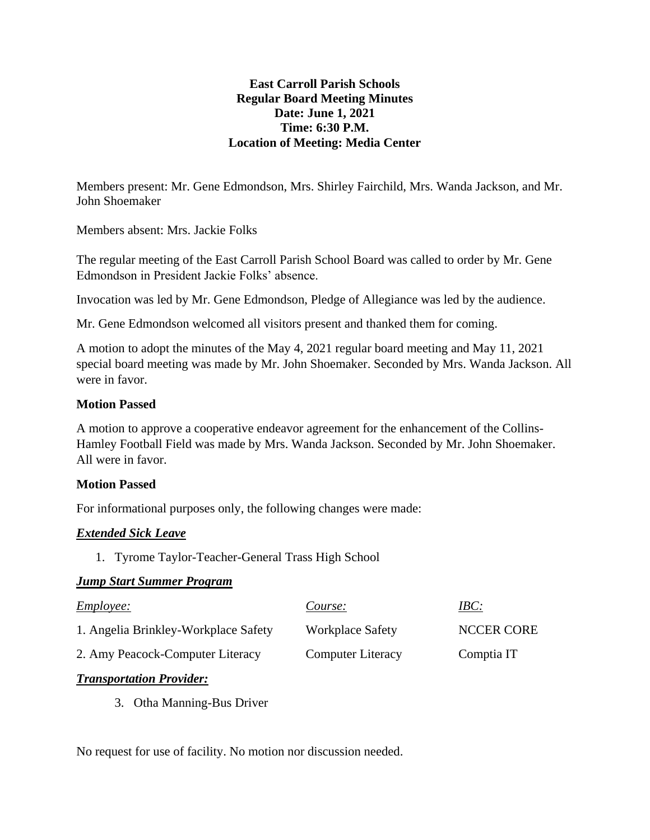#### **East Carroll Parish Schools Regular Board Meeting Minutes Date: June 1, 2021 Time: 6:30 P.M. Location of Meeting: Media Center**

Members present: Mr. Gene Edmondson, Mrs. Shirley Fairchild, Mrs. Wanda Jackson, and Mr. John Shoemaker

Members absent: Mrs. Jackie Folks

The regular meeting of the East Carroll Parish School Board was called to order by Mr. Gene Edmondson in President Jackie Folks' absence.

Invocation was led by Mr. Gene Edmondson, Pledge of Allegiance was led by the audience.

Mr. Gene Edmondson welcomed all visitors present and thanked them for coming.

A motion to adopt the minutes of the May 4, 2021 regular board meeting and May 11, 2021 special board meeting was made by Mr. John Shoemaker. Seconded by Mrs. Wanda Jackson. All were in favor.

#### **Motion Passed**

A motion to approve a cooperative endeavor agreement for the enhancement of the Collins-Hamley Football Field was made by Mrs. Wanda Jackson. Seconded by Mr. John Shoemaker. All were in favor.

## **Motion Passed**

For informational purposes only, the following changes were made:

## *Extended Sick Leave*

1. Tyrome Taylor-Teacher-General Trass High School

## *Jump Start Summer Program*

| <i>Employee:</i>                     | Course:                  | IBC:              |
|--------------------------------------|--------------------------|-------------------|
| 1. Angelia Brinkley-Workplace Safety | <b>Workplace Safety</b>  | <b>NCCER CORE</b> |
| 2. Amy Peacock-Computer Literacy     | <b>Computer Literacy</b> | Comptia IT        |

## *Transportation Provider:*

3. Otha Manning-Bus Driver

No request for use of facility. No motion nor discussion needed.